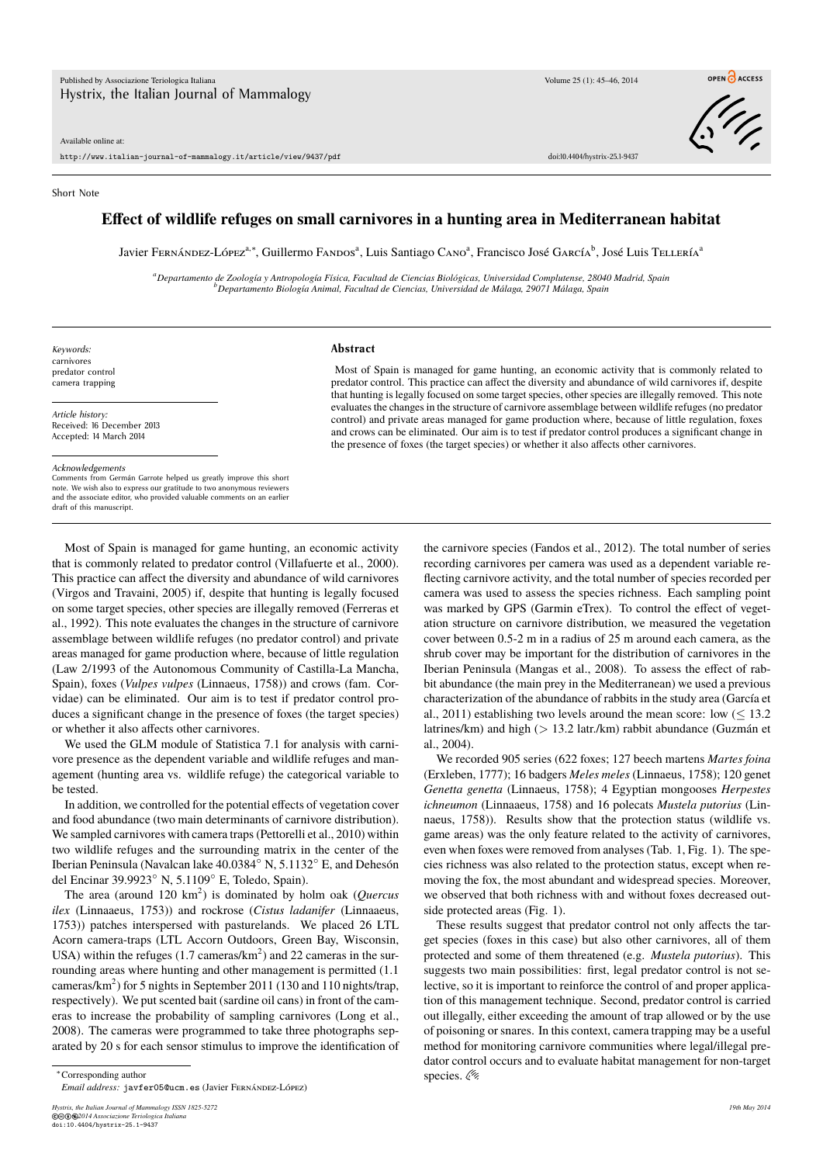Available online at:

http://www.italian-journal-of-mammalogy.it/article/view/9437/pdf doi:10.4404/hystrix-25.1-9437



## Short Note

## **Effect of wildlife refuges on small carnivores in a hunting area in Mediterranean habitat**

Javier Fernández-López<sup>a,∗</sup>, Guillermo Fandos<sup>a</sup>, Luis Santiago Cano<sup>a</sup>, Francisco José García<sup>b</sup>, José Luis Tellería<sup>8</sup>

*<sup>a</sup>Departamento de Zoología y Antropología Física, Facultad de Ciencias Biológicas, Universidad Complutense, 28040 Madrid, Spain <sup>b</sup>Departamento Biología Animal, Facultad de Ciencias, Universidad de Málaga, 29071 Málaga, Spain*

*Keywords:* carnivores predator control camera trapping

*Article history:* Received: 16 December 2013 Accepted: 14 March 2014

*Acknowledgements*

Comments from Germán Garrote helped us greatly improve this short note. We wish also to express our gratitude to two anonymous reviewers and the associate editor, who provided valuable comments on an earlier draft of this manuscript.

## **Abstract**

Most of Spain is managed for game hunting, an economic activity that is commonly related to predator control. This practice can affect the diversity and abundance of wild carnivores if, despite that hunting is legally focused on some target species, other species are illegally removed. This note evaluates the changes in the structure of carnivore assemblage between wildlife refuges (no predator control) and private areas managed for game production where, because of little regulation, foxes and crows can be eliminated. Our aim is to test if predator control produces a significant change in the presence of foxes (the target species) or whether it also affects other carnivores.

Most of Spain is managed for game hunting, an economic activity that is commonly related to predator control (Villafuerte et al., 2000). This practice can affect the diversity and abundance of wild carnivores (Virgos and Travaini, 2005) if, despite that hunting is legally focused on some target species, other species are illegally removed (Ferreras et al., 1992). This note evaluates the changes in the structure of carnivore assemblage between wildlife refuges (no predator control) and private areas managed for game production where, because of little regulation (Law 2/1993 of the Autonomous Community of Castilla-La Mancha, Spain), foxes (*Vulpes vulpes* (Linnaeus, 1758)) and crows (fam. Corvidae) can be eliminated. Our aim is to test if predator control produces a significant change in the presence of foxes (the target species) or whether it also affects other carnivores.

We used the GLM module of Statistica 7.1 for analysis with carnivore presence as the dependent variable and wildlife refuges and management (hunting area vs. wildlife refuge) the categorical variable to be tested.

In addition, we controlled for the potential effects of vegetation cover and food abundance (two main determinants of carnivore distribution). We sampled carnivores with camera traps (Pettorelli et al., 2010) within two wildlife refuges and the surrounding matrix in the center of the Iberian Peninsula (Navalcan lake 40.0384◦ N, 5.1132◦ E, and Dehesón del Encinar 39.9923◦ N, 5.1109◦ E, Toledo, Spain).

The area (around 120 km<sup>2</sup>) is dominated by holm oak (*Quercus ilex* (Linnaaeus, 1753)) and rockrose (*Cistus ladanifer* (Linnaaeus, 1753)) patches interspersed with pasturelands. We placed 26 LTL Acorn camera-traps (LTL Accorn Outdoors, Green Bay, Wisconsin, USA) within the refuges  $(1.7 \text{ cameras/km}^2)$  and 22 cameras in the surrounding areas where hunting and other management is permitted (1.1 cameras/km<sup>2</sup>) for 5 nights in September 2011 (130 and 110 nights/trap, respectively). We put scented bait (sardine oil cans) in front of the cameras to increase the probability of sampling carnivores (Long et al., 2008). The cameras were programmed to take three photographs separated by 20 s for each sensor stimulus to improve the identification of

the carnivore species (Fandos et al., 2012). The total number of series recording carnivores per camera was used as a dependent variable reflecting carnivore activity, and the total number of species recorded per camera was used to assess the species richness. Each sampling point was marked by GPS (Garmin eTrex). To control the effect of vegetation structure on carnivore distribution, we measured the vegetation cover between 0.5-2 m in a radius of 25 m around each camera, as the shrub cover may be important for the distribution of carnivores in the Iberian Peninsula (Mangas et al., 2008). To assess the effect of rabbit abundance (the main prey in the Mediterranean) we used a previous characterization of the abundance of rabbits in the study area (García et al., 2011) establishing two levels around the mean score: low  $(< 13.2$ latrines/km) and high (*>* 13.2 latr./km) rabbit abundance (Guzmán et al., 2004).

We recorded 905 series (622 foxes; 127 beech martens *Martes foina* (Erxleben, 1777); 16 badgers *Meles meles* (Linnaeus, 1758); 120 genet *Genetta genetta* (Linnaeus, 1758); 4 Egyptian mongooses *Herpestes ichneumon* (Linnaaeus, 1758) and 16 polecats *Mustela putorius* (Linnaeus, 1758)). Results show that the protection status (wildlife vs. game areas) was the only feature related to the activity of carnivores, even when foxes were removed from analyses (Tab. 1, Fig. 1). The species richness was also related to the protection status, except when removing the fox, the most abundant and widespread species. Moreover, we observed that both richness with and without foxes decreased outside protected areas (Fig. 1).

These results suggest that predator control not only affects the target species (foxes in this case) but also other carnivores, all of them protected and some of them threatened (e.g. *Mustela putorius*). This suggests two main possibilities: first, legal predator control is not selective, so it is important to reinforce the control of and proper application of this management technique. Second, predator control is carried out illegally, either exceeding the amount of trap allowed or by the use of poisoning or snares. In this context, camera trapping may be a useful method for monitoring carnivore communities where legal/illegal predator control occurs and to evaluate habitat management for non-target species.  $\mathcal{C}$ 

<sup>∗</sup>Corresponding author

*Email address:* javfer05@ucm.es (Javier Fernández-López)